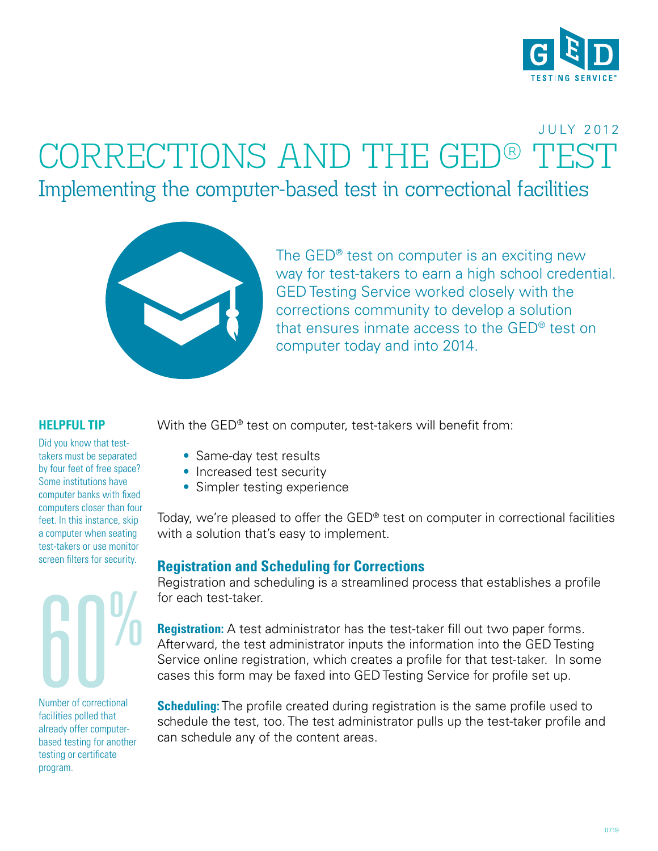

# $CORRECTIONS AND THE GED<sup>®</sup>$ Implementing the computer-based test in correctional facilities J U LY 2 012



The GED<sup>®</sup> test on computer is an exciting new way for test-takers to earn a high school credential. GED Testing Service worked closely with the corrections community to develop a solution that ensures inmate access to the GED® test on computer today and into 2014.

#### **HELPFUL TIP**

Did you know that testtakers must be separated by four feet of free space? Some institutions have computer banks with fixed computers closer than four feet. In this instance, skip a computer when seating test-takers or use monitor screen filters for security.

# Number of correctional

Number of correctional facilities polled that already offer computerbased testing for another testing or certificate program.

With the GED<sup>®</sup> test on computer, test-takers will benefit from:

- Same-day test results
- Increased test security
- Simpler testing experience

Today, we're pleased to offer the GED® test on computer in correctional facilities with a solution that's easy to implement.

## **Registration and Scheduling for Corrections**

Registration and scheduling is a streamlined process that establishes a profile for each test-taker.

**Registration:** A test administrator has the test-taker fill out two paper forms. Afterward, the test administrator inputs the information into the GED Testing Service online registration, which creates a profile for that test-taker. In some cases this form may be faxed into GED Testing Service for profile set up.

**Scheduling:** The profile created during registration is the same profile used to schedule the test, too. The test administrator pulls up the test-taker profile and can schedule any of the content areas.